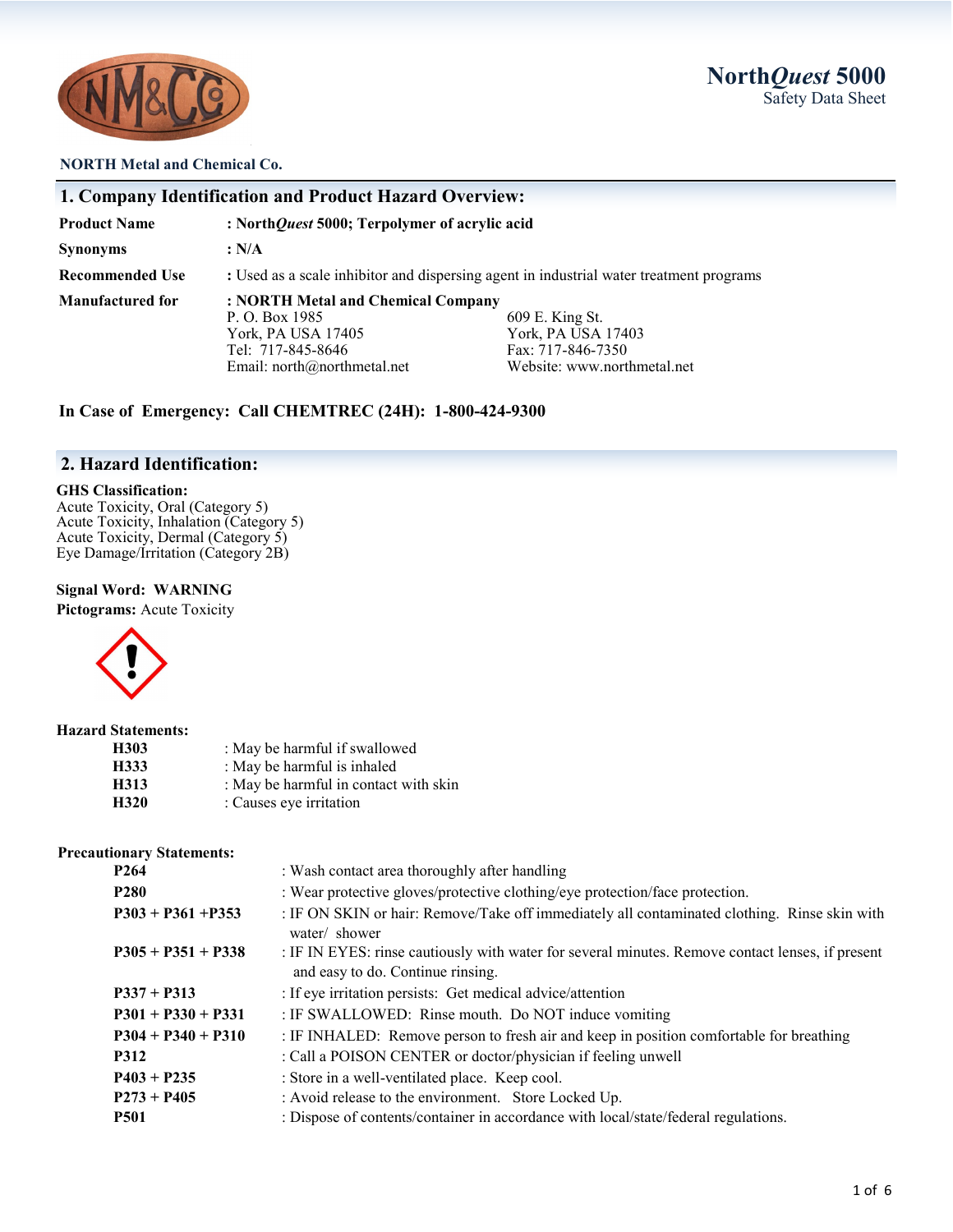

## **North***Quest* **5000** Safety Data Sheet

### **NORTH Metal and Chemical Co.**

| 1. Company Identification and Product Hazard Overview: |                                                                                                                              |                                                                                           |
|--------------------------------------------------------|------------------------------------------------------------------------------------------------------------------------------|-------------------------------------------------------------------------------------------|
| <b>Product Name</b>                                    | : NorthQuest 5000; Terpolymer of acrylic acid                                                                                |                                                                                           |
| <b>Synonyms</b>                                        | : N/A                                                                                                                        |                                                                                           |
| <b>Recommended Use</b>                                 | : Used as a scale inhibitor and dispersing agent in industrial water treatment programs                                      |                                                                                           |
| Manufactured for                                       | : NORTH Metal and Chemical Company<br>P. O. Box 1985<br>York, PA USA 17405<br>Tel: 717-845-8646<br>Email: $north@normal.net$ | 609 E. King St.<br>York, PA USA 17403<br>Fax: 717-846-7350<br>Website: www.northmetal.net |

### **In Case of Emergency: Call CHEMTREC (24H): 1-800-424-9300**

## **2. Hazard Identification:**

### **GHS Classification:**

Acute Toxicity, Oral (Category 5) Acute Toxicity, Inhalation (Category 5) Acute Toxicity, Dermal (Category 5) Eye Damage/Irritation (Category 2B)

### **Signal Word: WARNING**

**Pictograms:** Acute Toxicity



#### **Hazard Statements:**

| H303 | : May be harmful if swallowed         |
|------|---------------------------------------|
| H333 | : May be harmful is inhaled           |
| H313 | : May be harmful in contact with skin |
| H320 | : Causes eye irritation               |

### **Precautionary Statements:**

| P <sub>264</sub>     | : Wash contact area thoroughly after handling                                                                                         |  |
|----------------------|---------------------------------------------------------------------------------------------------------------------------------------|--|
| <b>P280</b>          | : Wear protective gloves/protective clothing/eye protection/face protection.                                                          |  |
| $P303 + P361 + P353$ | : IF ON SKIN or hair: Remove/Take off immediately all contaminated clothing. Rinse skin with<br>water/ shower                         |  |
| $P305 + P351 + P338$ | : IF IN EYES: rinse cautiously with water for several minutes. Remove contact lenses, if present<br>and easy to do. Continue rinsing. |  |
| $P337 + P313$        | : If eye irritation persists: Get medical advice/attention                                                                            |  |
| $P301 + P330 + P331$ | : IF SWALLOWED: Rinse mouth. Do NOT induce vomiting                                                                                   |  |
| $P304 + P340 + P310$ | : IF INHALED: Remove person to fresh air and keep in position comfortable for breathing                                               |  |
| <b>P312</b>          | : Call a POISON CENTER or doctor/physician if feeling unwell                                                                          |  |
| $P403 + P235$        | : Store in a well-ventilated place. Keep cool.                                                                                        |  |
| $P273 + P405$        | : Avoid release to the environment. Store Locked Up.                                                                                  |  |
| <b>P501</b>          | : Dispose of contents/container in accordance with local/state/federal regulations.                                                   |  |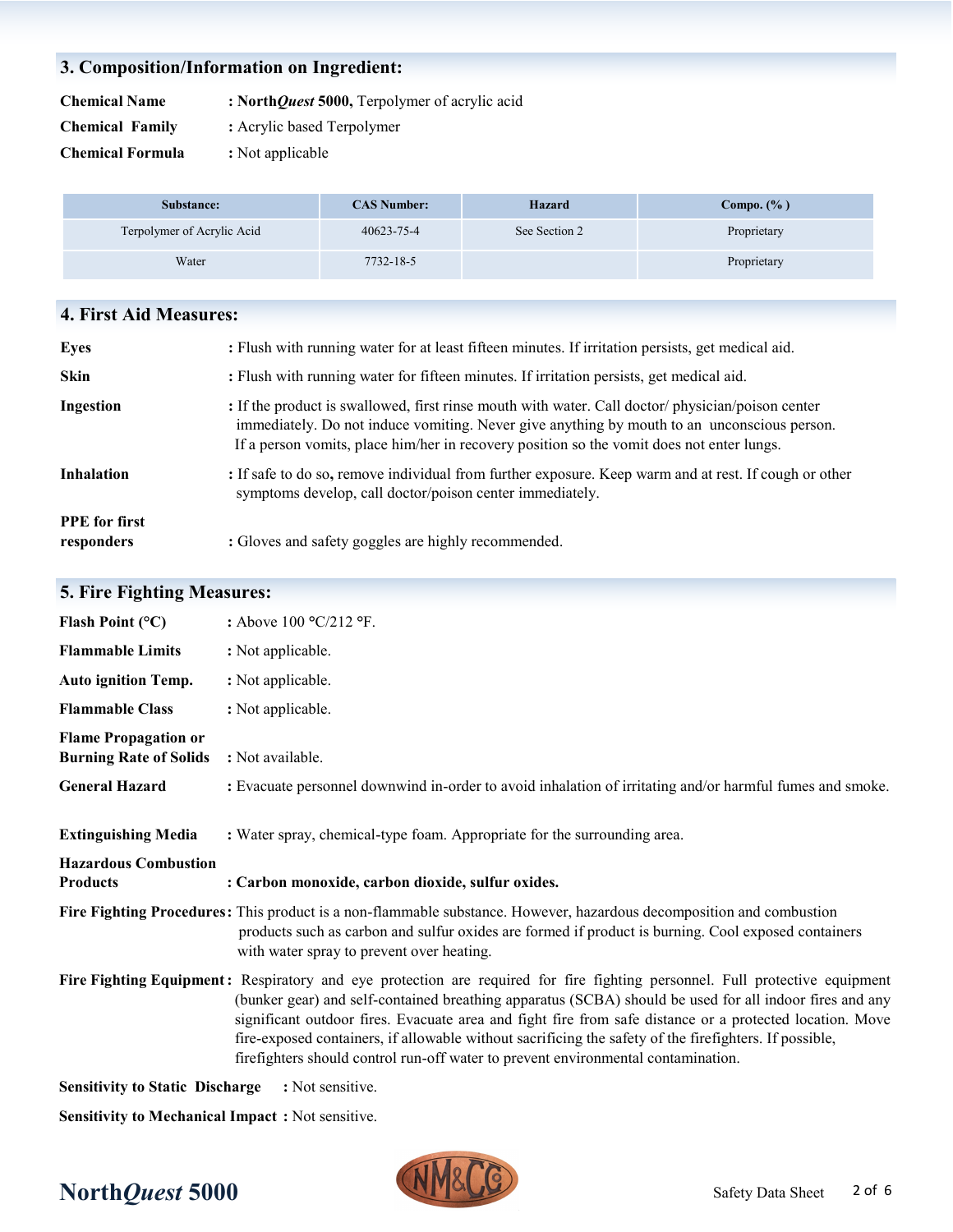## **3. Composition/Information on Ingredient:**

**Chemical Name : North***Quest* **5000,** Terpolymer of acrylic acid

- **Chemical Family :** Acrylic based Terpolymer
- **Chemical Formula :** Not applicable

| Substance:                 | <b>CAS Number:</b> | <b>Hazard</b> | Compo. $(\%$ ) |
|----------------------------|--------------------|---------------|----------------|
| Terpolymer of Acrylic Acid | 40623-75-4         | See Section 2 | Proprietary    |
| Water                      | 7732-18-5          |               | Proprietary    |

## **4. First Aid Measures:**

| Eyes                               | : Flush with running water for at least fifteen minutes. If irritation persists, get medical aid.                                                                                                                                                                                             |
|------------------------------------|-----------------------------------------------------------------------------------------------------------------------------------------------------------------------------------------------------------------------------------------------------------------------------------------------|
| <b>Skin</b>                        | : Flush with running water for fifteen minutes. If irritation persists, get medical aid.                                                                                                                                                                                                      |
| Ingestion                          | : If the product is swallowed, first rinse mouth with water. Call doctor/ physician/poison center<br>immediately. Do not induce vomiting. Never give anything by mouth to an unconscious person.<br>If a person vomits, place him/her in recovery position so the vomit does not enter lungs. |
| <b>Inhalation</b>                  | : If safe to do so, remove individual from further exposure. Keep warm and at rest. If cough or other<br>symptoms develop, call doctor/poison center immediately.                                                                                                                             |
| <b>PPE</b> for first<br>responders | : Gloves and safety goggles are highly recommended.                                                                                                                                                                                                                                           |

## **5. Fire Fighting Measures:**

| Flash Point $(^{\circ}C)$                                    | : Above $100 \text{ °C}/212 \text{ °F}$ .                                                                                                                                                                                                                                                                                                                                                                                                                                                                                                         |
|--------------------------------------------------------------|---------------------------------------------------------------------------------------------------------------------------------------------------------------------------------------------------------------------------------------------------------------------------------------------------------------------------------------------------------------------------------------------------------------------------------------------------------------------------------------------------------------------------------------------------|
| <b>Flammable Limits</b>                                      | : Not applicable.                                                                                                                                                                                                                                                                                                                                                                                                                                                                                                                                 |
| <b>Auto ignition Temp.</b>                                   | : Not applicable.                                                                                                                                                                                                                                                                                                                                                                                                                                                                                                                                 |
| <b>Flammable Class</b>                                       | : Not applicable.                                                                                                                                                                                                                                                                                                                                                                                                                                                                                                                                 |
| <b>Flame Propagation or</b><br><b>Burning Rate of Solids</b> | : Not available.                                                                                                                                                                                                                                                                                                                                                                                                                                                                                                                                  |
| <b>General Hazard</b>                                        | : Evacuate personnel downwind in-order to avoid inhalation of irritating and/or harmful fumes and smoke.                                                                                                                                                                                                                                                                                                                                                                                                                                          |
| <b>Extinguishing Media</b><br><b>Hazardous Combustion</b>    | : Water spray, chemical-type foam. Appropriate for the surrounding area.                                                                                                                                                                                                                                                                                                                                                                                                                                                                          |
| <b>Products</b>                                              | : Carbon monoxide, carbon dioxide, sulfur oxides.                                                                                                                                                                                                                                                                                                                                                                                                                                                                                                 |
|                                                              | Fire Fighting Procedures: This product is a non-flammable substance. However, hazardous decomposition and combustion<br>products such as carbon and sulfur oxides are formed if product is burning. Cool exposed containers<br>with water spray to prevent over heating.                                                                                                                                                                                                                                                                          |
|                                                              | Fire Fighting Equipment: Respiratory and eye protection are required for fire fighting personnel. Full protective equipment<br>(bunker gear) and self-contained breathing apparatus (SCBA) should be used for all indoor fires and any<br>significant outdoor fires. Evacuate area and fight fire from safe distance or a protected location. Move<br>fire-exposed containers, if allowable without sacrificing the safety of the firefighters. If possible,<br>firefighters should control run-off water to prevent environmental contamination. |
| <b>Sensitivity to Static Discharge</b>                       | : Not sensitive.                                                                                                                                                                                                                                                                                                                                                                                                                                                                                                                                  |

**Sensitivity to Mechanical Impact :** Not sensitive.

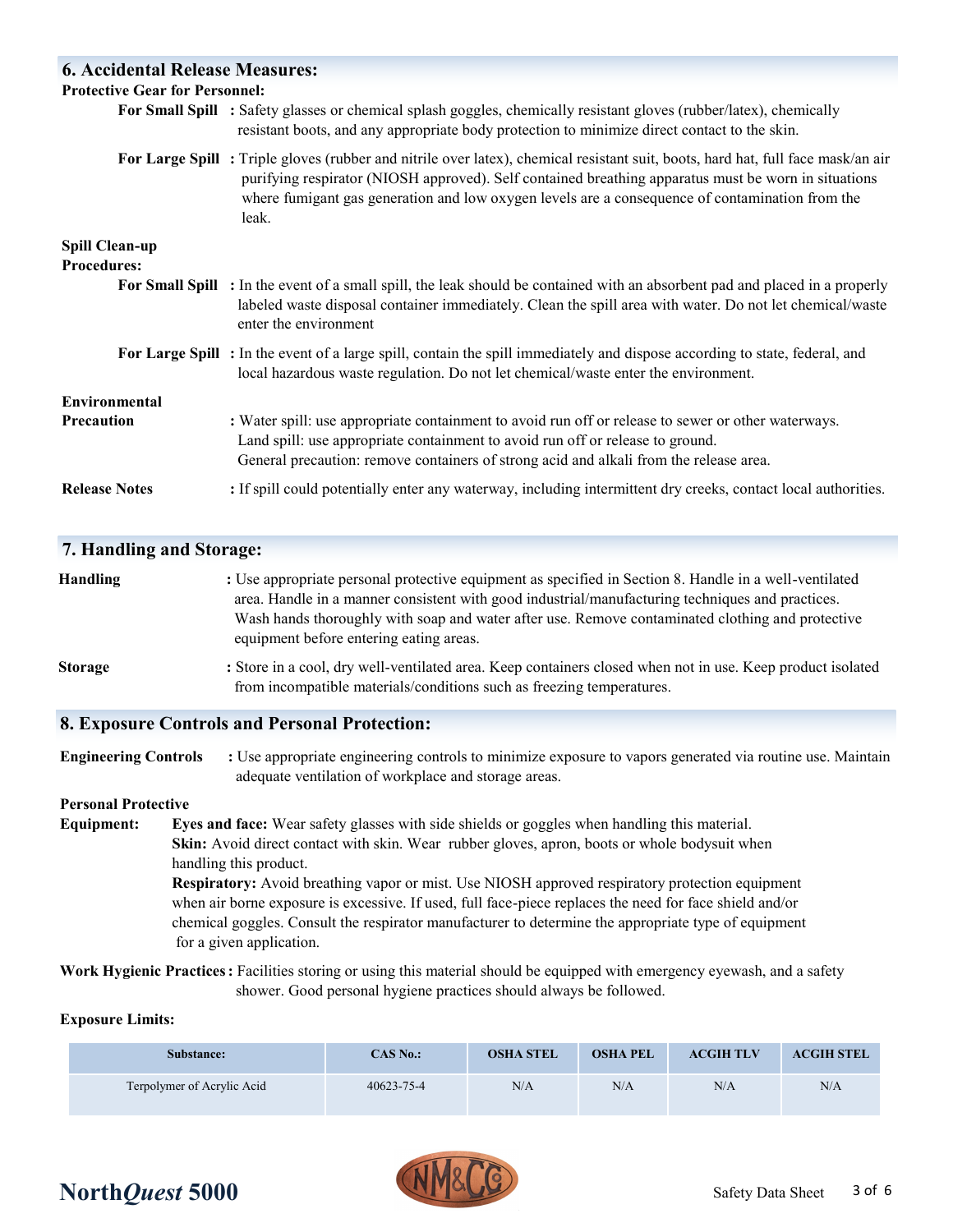| <b>6. Accidental Release Measures:</b>      |                                                                                                                                                                                                                                                                                                                                                     |
|---------------------------------------------|-----------------------------------------------------------------------------------------------------------------------------------------------------------------------------------------------------------------------------------------------------------------------------------------------------------------------------------------------------|
| <b>Protective Gear for Personnel:</b>       |                                                                                                                                                                                                                                                                                                                                                     |
|                                             | For Small Spill : Safety glasses or chemical splash goggles, chemically resistant gloves (rubber/latex), chemically<br>resistant boots, and any appropriate body protection to minimize direct contact to the skin.                                                                                                                                 |
|                                             | For Large Spill: Triple gloves (rubber and nitrile over latex), chemical resistant suit, boots, hard hat, full face mask/an air<br>purifying respirator (NIOSH approved). Self contained breathing apparatus must be worn in situations<br>where fumigant gas generation and low oxygen levels are a consequence of contamination from the<br>leak. |
| <b>Spill Clean-up</b><br><b>Procedures:</b> |                                                                                                                                                                                                                                                                                                                                                     |
|                                             | For Small Spill : In the event of a small spill, the leak should be contained with an absorbent pad and placed in a properly<br>labeled waste disposal container immediately. Clean the spill area with water. Do not let chemical/waste<br>enter the environment                                                                                   |
|                                             | For Large Spill: In the event of a large spill, contain the spill immediately and dispose according to state, federal, and<br>local hazardous waste regulation. Do not let chemical/waste enter the environment.                                                                                                                                    |
| Environmental                               |                                                                                                                                                                                                                                                                                                                                                     |
| <b>Precaution</b>                           | : Water spill: use appropriate containment to avoid run off or release to sewer or other waterways.<br>Land spill: use appropriate containment to avoid run off or release to ground.<br>General precaution: remove containers of strong acid and alkali from the release area.                                                                     |
| <b>Release Notes</b>                        | : If spill could potentially enter any waterway, including intermittent dry creeks, contact local authorities.                                                                                                                                                                                                                                      |

## **7. Handling and Storage:**

| Handling | : Use appropriate personal protective equipment as specified in Section 8. Handle in a well-ventilated |
|----------|--------------------------------------------------------------------------------------------------------|
|          | area. Handle in a manner consistent with good industrial/manufacturing techniques and practices.       |
|          | Wash hands thoroughly with soap and water after use. Remove contaminated clothing and protective       |
|          | equipment before entering eating areas.                                                                |
| --       |                                                                                                        |

**Storage** : Store in a cool, dry well-ventilated area. Keep containers closed when not in use. Keep product isolated from incompatible materials/conditions such as freezing temperatures.

### **8. Exposure Controls and Personal Protection:**

**Engineering Controls :** Use appropriate engineering controls to minimize exposure to vapors generated via routine use. Maintain adequate ventilation of workplace and storage areas.

### **Personal Protective**

**Equipment: Eyes and face:** Wear safety glasses with side shields or goggles when handling this material. **Skin:** Avoid direct contact with skin. Wear rubber gloves, apron, boots or whole bodysuit when handling this product. **Respiratory:** Avoid breathing vapor or mist. Use NIOSH approved respiratory protection equipment when air borne exposure is excessive. If used, full face-piece replaces the need for face shield and/or chemical goggles. Consult the respirator manufacturer to determine the appropriate type of equipment for a given application.

**Work Hygienic Practices:** Facilities storing or using this material should be equipped with emergency eyewash, and a safety shower. Good personal hygiene practices should always be followed.

### **Exposure Limits:**

| Substance:                 | <b>CAS No.:</b> | <b>OSHA STEL</b> | <b>OSHA PEL</b> | <b>ACGIH TLV</b> | <b>ACGIH STEL</b> |
|----------------------------|-----------------|------------------|-----------------|------------------|-------------------|
| Terpolymer of Acrylic Acid | 40623-75-4      | N/A              | N/A             | N/A              | N/A               |

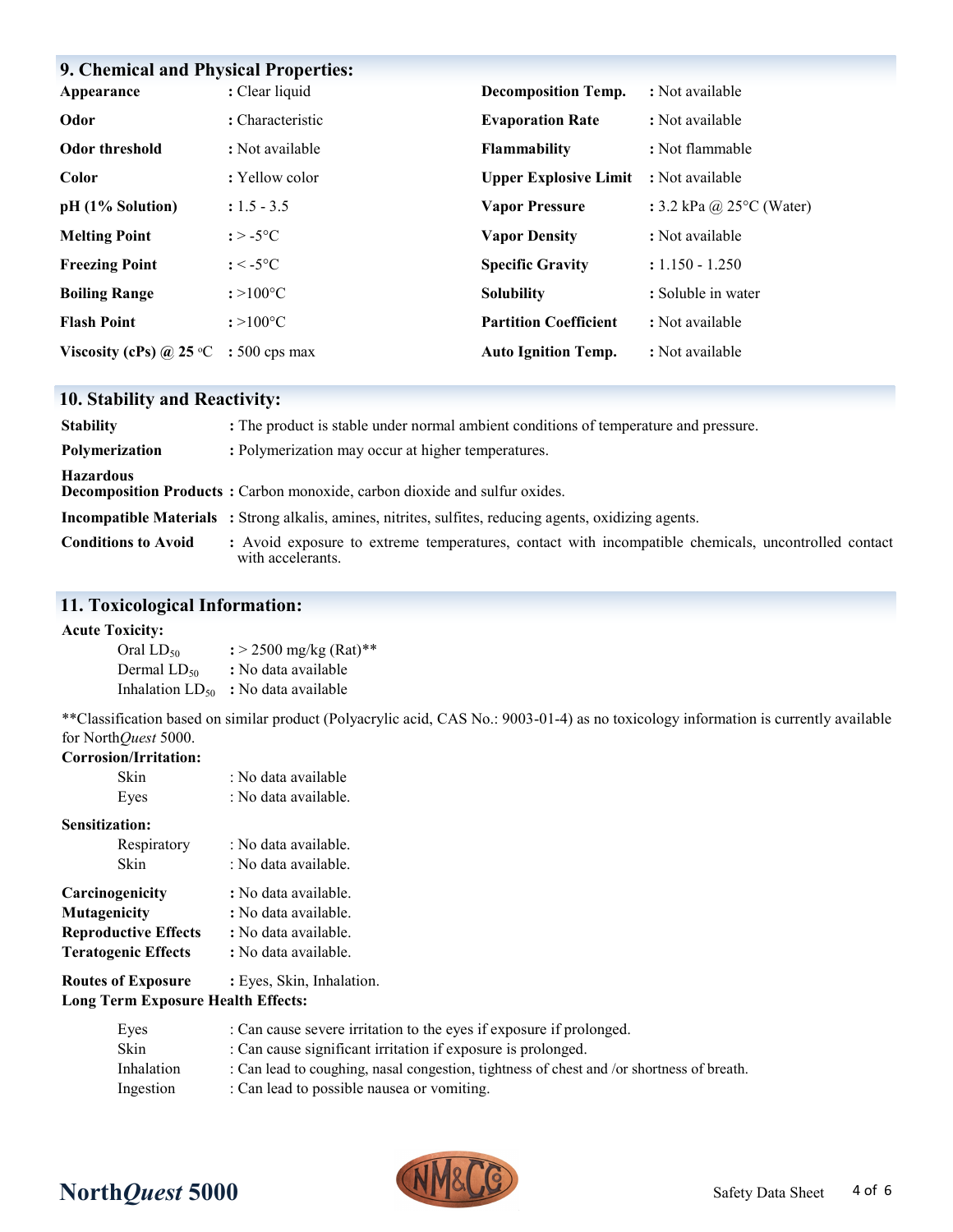| <b>9. Chemical and Physical Properties:</b> |                                 |                              |                                    |
|---------------------------------------------|---------------------------------|------------------------------|------------------------------------|
| Appearance                                  | : Clear liquid                  | <b>Decomposition Temp.</b>   | : Not available                    |
| Odor                                        | : Characteristic                | <b>Evaporation Rate</b>      | : Not available                    |
| Odor threshold                              | : Not available                 | Flammability                 | : Not flammable                    |
| Color                                       | : Yellow color                  | <b>Upper Explosive Limit</b> | : Not available                    |
| pH (1% Solution)                            | $: 1.5 - 3.5$                   | <b>Vapor Pressure</b>        | : 3.2 kPa @ $25^{\circ}$ C (Water) |
| <b>Melting Point</b>                        | : $>$ -5 $^{\circ}$ C           | <b>Vapor Density</b>         | : Not available                    |
| <b>Freezing Point</b>                       | : $\le$ -5 $\mathrm{^{\circ}C}$ | <b>Specific Gravity</b>      | $: 1.150 - 1.250$                  |
| <b>Boiling Range</b>                        | $: >100^{\circ}C$               | <b>Solubility</b>            | : Soluble in water                 |
| <b>Flash Point</b>                          | $: >100^{\circ}C$               | <b>Partition Coefficient</b> | : Not available                    |
| Viscosity (cPs) @ 25 $\degree$ C            | $: 500$ cps max                 | <b>Auto Ignition Temp.</b>   | : Not available                    |

## **10. Stability and Reactivity:**

| <b>Stability</b>           | : The product is stable under normal ambient conditions of temperature and pressure.                                     |
|----------------------------|--------------------------------------------------------------------------------------------------------------------------|
| Polymerization             | : Polymerization may occur at higher temperatures.                                                                       |
| <b>Hazardous</b>           | <b>Decomposition Products:</b> Carbon monoxide, carbon dioxide and sulfur oxides.                                        |
|                            | <b>Incompatible Materials</b> : Strong alkalis, amines, nitrites, sulfites, reducing agents, oxidizing agents.           |
| <b>Conditions to Avoid</b> | : Avoid exposure to extreme temperatures, contact with incompatible chemicals, uncontrolled contact<br>with accelerants. |

## **11. Toxicological Information:**

### **Acute Toxicity:**

| Oral LD <sub>50</sub>       | : $>$ 2500 mg/kg (Rat)** |
|-----------------------------|--------------------------|
| Dermal $LD_{50}$            | : No data available      |
| Inhalation LD <sub>50</sub> | : No data available      |

\*\*Classification based on similar product (Polyacrylic acid, CAS No.: 9003-01-4) as no toxicology information is currently available for North*Quest* 5000.

### **Corrosion/Irritation:**

| Skin<br>Eyes          | : No data available<br>: No data available. |  |  |
|-----------------------|---------------------------------------------|--|--|
| <b>Sensitization:</b> |                                             |  |  |
| Respiratory           | : No data available.                        |  |  |
| Skin                  | : No data available.                        |  |  |
| Carcinogenicity       | : No data available.                        |  |  |
| Mutagenicity          | : No data available.                        |  |  |

| Mutagement                  | : ino data available. |
|-----------------------------|-----------------------|
| <b>Reproductive Effects</b> | : No data available.  |
| <b>Teratogenic Effects</b>  | : No data available.  |
|                             |                       |

**Routes of Exposure** : Eyes, Skin, Inhalation.

**Long Term Exposure Health Effects:**

| Eyes              | : Can cause severe irritation to the eyes if exposure if prolonged.                       |
|-------------------|-------------------------------------------------------------------------------------------|
| Skin              | : Can cause significant irritation if exposure is prolonged.                              |
| <b>Inhalation</b> | : Can lead to coughing, nasal congestion, tightness of chest and /or shortness of breath. |
| Ingestion         | : Can lead to possible nausea or vomiting.                                                |



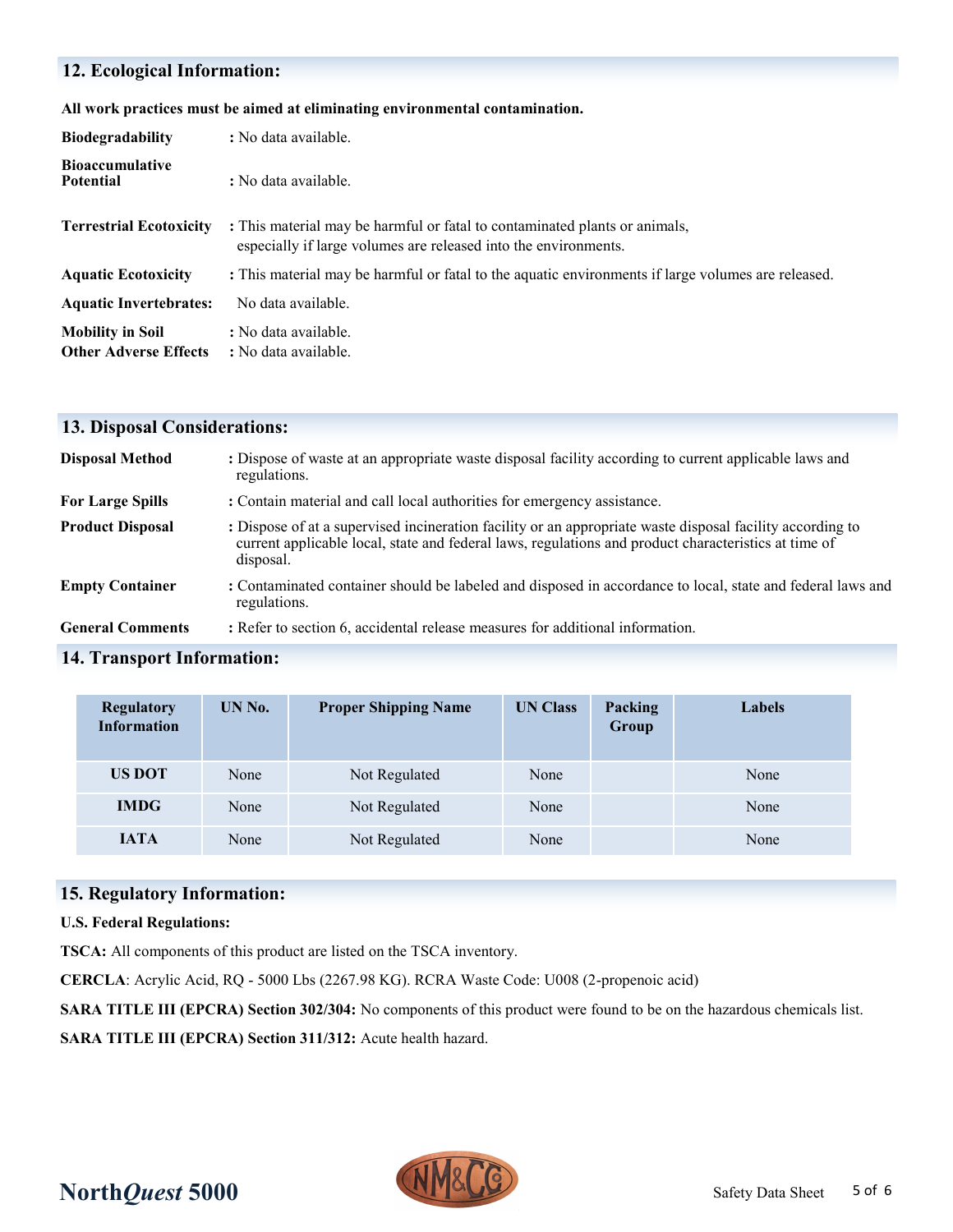## **12. Ecological Information:**

### **All work practices must be aimed at eliminating environmental contamination.**

| <b>Biodegradability</b>                                 | : No data available.                                                                                                                          |
|---------------------------------------------------------|-----------------------------------------------------------------------------------------------------------------------------------------------|
| <b>Bioaccumulative</b><br><b>Potential</b>              | : No data available.                                                                                                                          |
| <b>Terrestrial Ecotoxicity</b>                          | : This material may be harmful or fatal to contaminated plants or animals,<br>especially if large volumes are released into the environments. |
| <b>Aquatic Ecotoxicity</b>                              | : This material may be harmful or fatal to the aquatic environments if large volumes are released.                                            |
| <b>Aquatic Invertebrates:</b>                           | No data available.                                                                                                                            |
| <b>Mobility in Soil</b><br><b>Other Adverse Effects</b> | : No data available.<br>: No data available.                                                                                                  |

| <b>13. Disposal Considerations:</b> |                                                                                                                                                                                                                                |
|-------------------------------------|--------------------------------------------------------------------------------------------------------------------------------------------------------------------------------------------------------------------------------|
| <b>Disposal Method</b>              | : Dispose of waste at an appropriate waste disposal facility according to current applicable laws and<br>regulations.                                                                                                          |
| <b>For Large Spills</b>             | : Contain material and call local authorities for emergency assistance.                                                                                                                                                        |
| <b>Product Disposal</b>             | : Dispose of at a supervised incineration facility or an appropriate waste disposal facility according to<br>current applicable local, state and federal laws, regulations and product characteristics at time of<br>disposal. |
| <b>Empty Container</b>              | : Contaminated container should be labeled and disposed in accordance to local, state and federal laws and<br>regulations.                                                                                                     |
| <b>General Comments</b>             | : Refer to section 6, accidental release measures for additional information.                                                                                                                                                  |

## **14. Transport Information:**

| <b>Regulatory</b><br><b>Information</b> | UN No. | <b>Proper Shipping Name</b> | <b>UN Class</b> | Packing<br>Group | Labels |
|-----------------------------------------|--------|-----------------------------|-----------------|------------------|--------|
| <b>US DOT</b>                           | None   | Not Regulated               | None            |                  | None   |
| <b>IMDG</b>                             | None   | Not Regulated               | None            |                  | None   |
| <b>IATA</b>                             | None   | Not Regulated               | None            |                  | None   |

## **15. Regulatory Information:**

**U.S. Federal Regulations:**

**TSCA:** All components of this product are listed on the TSCA inventory.

**CERCLA**: Acrylic Acid, RQ - 5000 Lbs (2267.98 KG). RCRA Waste Code: U008 (2-propenoic acid)

**SARA TITLE III (EPCRA) Section 302/304:** No components of this product were found to be on the hazardous chemicals list.

**SARA TITLE III (EPCRA) Section 311/312:** Acute health hazard.